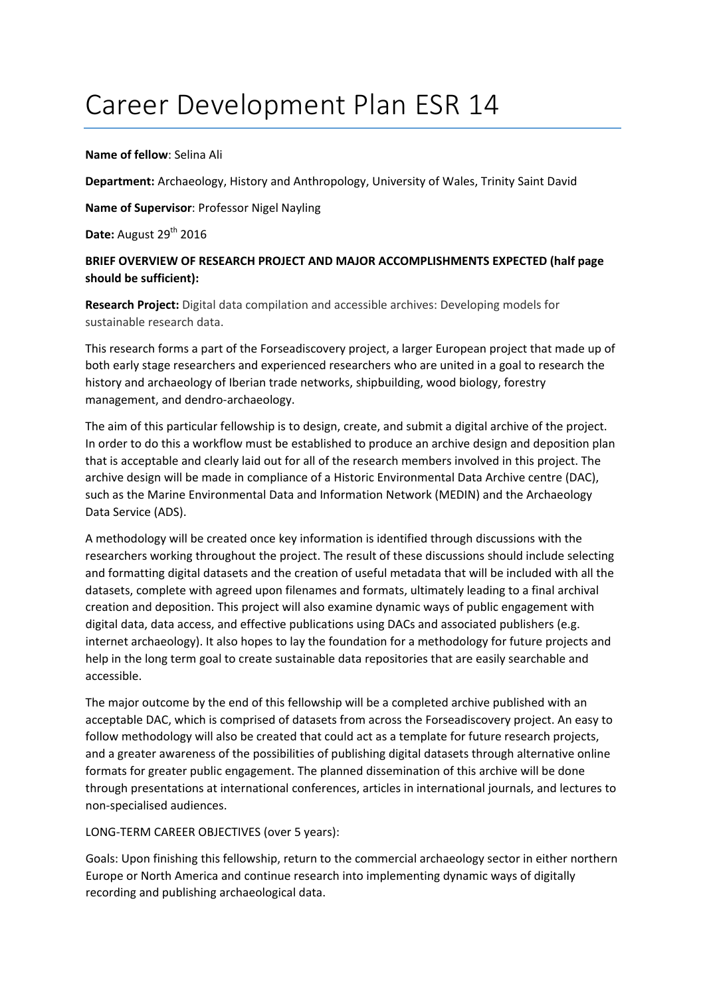# Career Development Plan ESR 14

### **Name of fellow**: Selina Ali

**Department:** Archaeology, History and Anthropology, University of Wales, Trinity Saint David

**Name of Supervisor**: Professor Nigel Nayling

**Date:** August 29<sup>th</sup> 2016

## **BRIEF OVERVIEW OF RESEARCH PROJECT AND MAJOR ACCOMPLISHMENTS EXPECTED (half page should be sufficient):**

**Research Project:** Digital data compilation and accessible archives: Developing models for sustainable research data.

This research forms a part of the Forseadiscovery project, a larger European project that made up of both early stage researchers and experienced researchers who are united in a goal to research the history and archaeology of Iberian trade networks, shipbuilding, wood biology, forestry management, and dendro‐archaeology.

The aim of this particular fellowship is to design, create, and submit a digital archive of the project. In order to do this a workflow must be established to produce an archive design and deposition plan that is acceptable and clearly laid out for all of the research members involved in this project. The archive design will be made in compliance of a Historic Environmental Data Archive centre (DAC), such as the Marine Environmental Data and Information Network (MEDIN) and the Archaeology Data Service (ADS).

A methodology will be created once key information is identified through discussions with the researchers working throughout the project. The result of these discussions should include selecting and formatting digital datasets and the creation of useful metadata that will be included with all the datasets, complete with agreed upon filenames and formats, ultimately leading to a final archival creation and deposition. This project will also examine dynamic ways of public engagement with digital data, data access, and effective publications using DACs and associated publishers (e.g. internet archaeology). It also hopes to lay the foundation for a methodology for future projects and help in the long term goal to create sustainable data repositories that are easily searchable and accessible.

The major outcome by the end of this fellowship will be a completed archive published with an acceptable DAC, which is comprised of datasets from across the Forseadiscovery project. An easy to follow methodology will also be created that could act as a template for future research projects, and a greater awareness of the possibilities of publishing digital datasets through alternative online formats for greater public engagement. The planned dissemination of this archive will be done through presentations at international conferences, articles in international journals, and lectures to non‐specialised audiences.

## LONG‐TERM CAREER OBJECTIVES (over 5 years):

Goals: Upon finishing this fellowship, return to the commercial archaeology sector in either northern Europe or North America and continue research into implementing dynamic ways of digitally recording and publishing archaeological data.